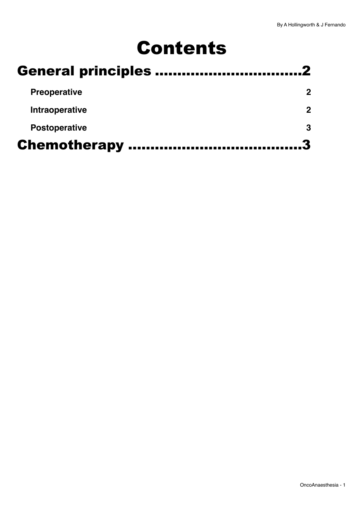# Contents

| <b>Preoperative</b>  |  |
|----------------------|--|
| Intraoperative       |  |
| <b>Postoperative</b> |  |
| <b>Chemotherapy </b> |  |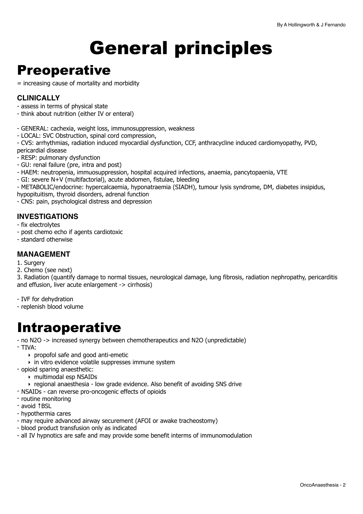# <span id="page-1-0"></span>General principles

## <span id="page-1-1"></span>**Preoperative**

= increasing cause of mortality and morbidity

## **CLINICALLY**

- assess in terms of physical state
- think about nutrition (either IV or enteral)
- GENERAL: cachexia, weight loss, immunosuppression, weakness
- LOCAL: SVC Obstruction, spinal cord compression,

- CVS: arrhythmias, radiation induced myocardial dysfunction, CCF, anthracycline induced cardiomyopathy, PVD, pericardial disease

- RESP: pulmonary dysfunction
- GU: renal failure (pre, intra and post)
- HAEM: neutropenia, immuosuppression, hospital acquired infections, anaemia, pancytopaenia, VTE
- GI: severe N+V (multifactorial), acute abdomen, fistulae, bleeding
- METABOLIC/endocrine: hypercalcaemia, hyponatraemia (SIADH), tumour lysis syndrome, DM, diabetes insipidus,
- hypopituitism, thyroid disorders, adrenal function
- CNS: pain, psychological distress and depression

## **INVESTIGATIONS**

- fix electrolytes
- post chemo echo if agents cardiotoxic
- standard otherwise

## **MANAGEMENT**

- 1. Surgery
- 2. Chemo (see next)

3. Radiation (quantify damage to normal tissues, neurological damage, lung fibrosis, radiation nephropathy, pericarditis and effusion, liver acute enlargement -> cirrhosis)

- IVF for dehydration
- replenish blood volume

## <span id="page-1-2"></span>Intraoperative

- no N2O -> increased synergy between chemotherapeutics and N2O (unpredictable)

- TIVA:
	- ‣ propofol safe and good anti-emetic
	- ‣ in vitro evidence volatile suppresses immune system
- opioid sparing anaesthetic:
	- ‣ multimodal esp NSAIDs
	- ‣ regional anaesthesia low grade evidence. Also benefit of avoiding SNS drive
- NSAIDs can reverse pro-oncogenic effects of opioids
- routine monitoring
- avoid ↑BSL
- hypothermia cares
- may require advanced airway securement (AFOI or awake tracheostomy)
- blood product transfusion only as indicated
- all IV hypnotics are safe and may provide some benefit interms of immunomodulation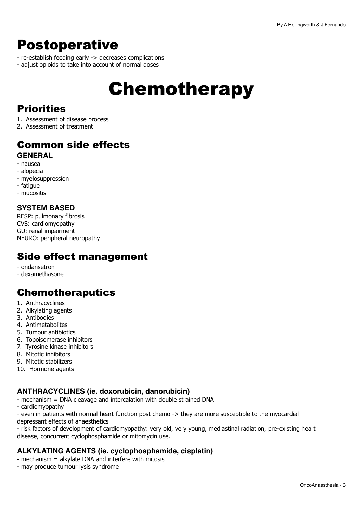## <span id="page-2-0"></span>Postoperative

- re-establish feeding early -> decreases complications
- adjust opioids to take into account of normal doses

# <span id="page-2-1"></span>Chemotherapy

## **Priorities**

- 1. Assessment of disease process
- 2. Assessment of treatment

## Common side effects **GENERAL**

- nausea
- alopecia
- myelosuppression
- fatigue
- mucositis

## **SYSTEM BASED**

RESP: pulmonary fibrosis CVS: cardiomyopathy GU: renal impairment NEURO: peripheral neuropathy

## Side effect management

- ondansetron
- dexamethasone

## Chemotheraputics

- 1. Anthracyclines
- 2. Alkylating agents
- 3. Antibodies
- 4. Antimetabolites
- 5. Tumour antibiotics
- 6. Topoisomerase inhibitors
- 7. Tyrosine kinase inhibitors
- 8. Mitotic inhibitors
- 9. Mitotic stabilizers
- 10. Hormone agents

## **ANTHRACYCLINES (ie. doxorubicin, danorubicin)**

- mechanism = DNA cleavage and intercalation with double strained DNA
- cardiomyopathy

- even in patients with normal heart function post chemo -> they are more susceptible to the myocardial depressant effects of anaesthetics

- risk factors of development of cardiomyopathy: very old, very young, mediastinal radiation, pre-existing heart disease, concurrent cyclophosphamide or mitomycin use.

## **ALKYLATING AGENTS (ie. cyclophosphamide, cisplatin)**

- mechanism = alkylate DNA and interfere with mitosis
- may produce tumour lysis syndrome